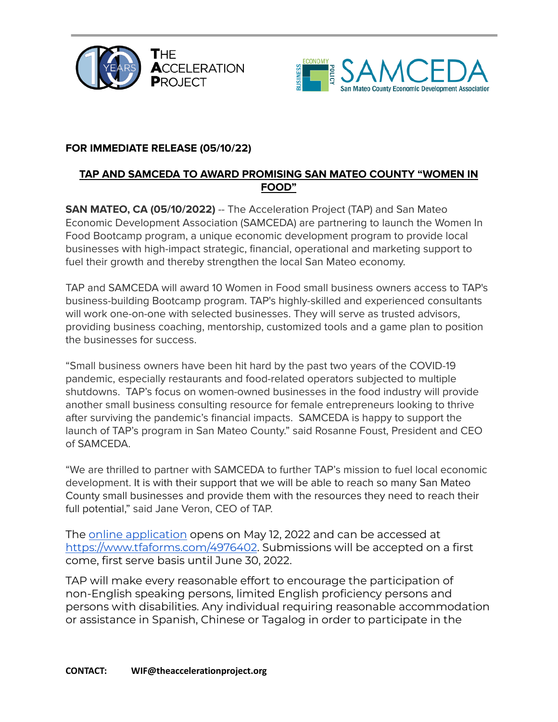



## **FOR IMMEDIATE RELEASE (05/10/22)**

## **TAP AND SAMCEDA TO AWARD PROMISING SAN MATEO COUNTY "WOMEN IN FOOD"**

**SAN MATEO, CA (05/10/2022)** -- The Acceleration Project (TAP) and San Mateo Economic Development Association (SAMCEDA) are partnering to launch the Women In Food Bootcamp program, a unique economic development program to provide local businesses with high-impact strategic, financial, operational and marketing support to fuel their growth and thereby strengthen the local San Mateo economy.

TAP and SAMCEDA will award 10 Women in Food small business owners access to TAP's business-building Bootcamp program. TAP's highly-skilled and experienced consultants will work one-on-one with selected businesses. They will serve as trusted advisors, providing business coaching, mentorship, customized tools and a game plan to position the businesses for success.

"Small business owners have been hit hard by the past two years of the COVID-19 pandemic, especially restaurants and food-related operators subjected to multiple shutdowns. TAP's focus on women-owned businesses in the food industry will provide another small business consulting resource for female entrepreneurs looking to thrive after surviving the pandemic's financial impacts. SAMCEDA is happy to support the launch of TAP's program in San Mateo County." said Rosanne Foust, President and CEO of SAMCEDA.

"We are thrilled to partner with SAMCEDA to further TAP's mission to fuel local economic development. It is with their support that we will be able to reach so many San Mateo County small businesses and provide them with the resources they need to reach their full potential," said Jane Veron, CEO of TAP.

The online [application](https://www.tfaforms.com/4976402) opens on May 12, 2022 and can be accessed at <https://www.tfaforms.com/4976402>. Submissions will be accepted on a first come, first serve basis until June 30, 2022.

TAP will make every reasonable effort to encourage the participation of non-English speaking persons, limited English proficiency persons and persons with disabilities. Any individual requiring reasonable accommodation or assistance in Spanish, Chinese or Tagalog in order to participate in the